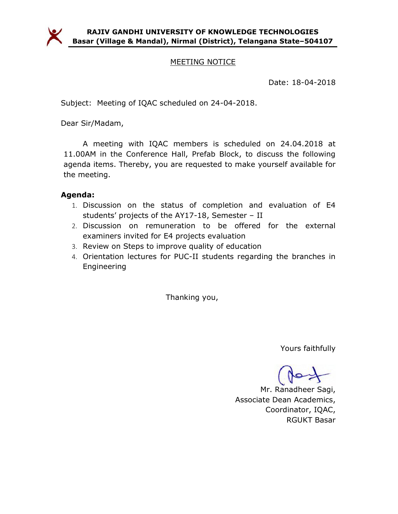

### MEETING NOTICE

Date: 18-04-2018

Subject: Meeting of IQAC scheduled on 24-04-2018.

Dear Sir/Madam,

A meeting with IQAC members is scheduled on 24.04.2018 at 11.00AM in the Conference Hall, Prefab Block, to discuss the following agenda items. Thereby, you are requested to make yourself available for the meeting.

## Agenda:

- 1. Discussion on the status of completion and evaluation of E4 students' projects of the AY17-18, Semester – II
- 2. Discussion on remuneration to be offered for the external examiners invited for E4 projects evaluation
- 3. Review on Steps to improve quality of education
- 4. Orientation lectures for PUC-II students regarding the branches in Engineering

Thanking you,

Yours faithfully

Mr. Ranadheer Sagi, Associate Dean Academics, Coordinator, IQAC, RGUKT Basar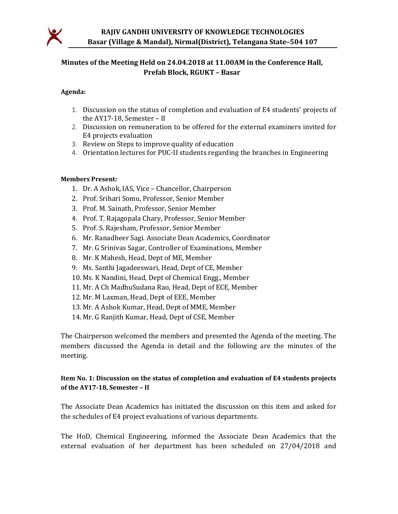

## Minutes of the Meeting Held on 24.04.2018 at 11.00AM in the Conference Hall, Prefab Block, RGUKT – Basar

#### Agenda:

- 1. Discussion on the status of completion and evaluation of E4 students' projects of the AY17-18, Semester – II
- 2. Discussion on remuneration to be offered for the external examiners invited for E4 projects evaluation
- 3. Review on Steps to improve quality of education
- 4. Orientation lectures for PUC-II students regarding the branches in Engineering

#### Members Present:

- 1. Dr. A Ashok, IAS, Vice Chancellor, Chairperson
- 2. Prof. Srihari Somu, Professor, Senior Member
- 3. Prof. M. Sainath, Professor, Senior Member
- 4. Prof. T. Rajagopala Chary, Professor, Senior Member
- 5. Prof. S. Rajesham, Professor, Senior Member
- 6. Mr. Ranadheer Sagi. Associate Dean Academics, Coordinator
- 7. Mr. G Srinivas Sagar, Controller of Examinations, Member
- 8. Mr. K Mahesh, Head, Dept of ME, Member
- 9. Ms. Santhi Jagadeeswari, Head, Dept of CE, Member
- 10. Ms. K Nandini, Head, Dept of Chemical Engg., Member
- 11. Mr. A Ch MadhuSudana Rao, Head, Dept of ECE, Member
- 12. Mr. M Laxman, Head, Dept of EEE, Member
- 13. Mr. A Ashok Kumar, Head, Dept of MME, Member
- 14. Mr. G Ranjith Kumar, Head, Dept of CSE, Member

The Chairperson welcomed the members and presented the Agenda of the meeting. The members discussed the Agenda in detail and the following are the minutes of the meeting.

#### Item No. 1: Discussion on the status of completion and evaluation of E4 students projects of the AY17-18, Semester – II

The Associate Dean Academics has initiated the discussion on this item and asked for the schedules of E4 project evaluations of various departments.

The HoD, Chemical Engineering, informed the Associate Dean Academics that the external evaluation of her department has been scheduled on 27/04/2018 and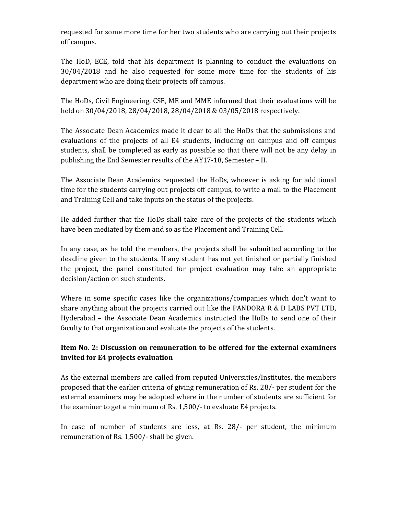requested for some more time for her two students who are carrying out their projects off campus.

The HoD, ECE, told that his department is planning to conduct the evaluations on 30/04/2018 and he also requested for some more time for the students of his department who are doing their projects off campus.

The HoDs, Civil Engineering, CSE, ME and MME informed that their evaluations will be held on 30/04/2018, 28/04/2018, 28/04/2018 & 03/05/2018 respectively.

The Associate Dean Academics made it clear to all the HoDs that the submissions and evaluations of the projects of all E4 students, including on campus and off campus students, shall be completed as early as possible so that there will not be any delay in publishing the End Semester results of the AY17-18, Semester – II.

The Associate Dean Academics requested the HoDs, whoever is asking for additional time for the students carrying out projects off campus, to write a mail to the Placement and Training Cell and take inputs on the status of the projects.

He added further that the HoDs shall take care of the projects of the students which have been mediated by them and so as the Placement and Training Cell.

In any case, as he told the members, the projects shall be submitted according to the deadline given to the students. If any student has not yet finished or partially finished the project, the panel constituted for project evaluation may take an appropriate decision/action on such students.

Where in some specific cases like the organizations/companies which don't want to share anything about the projects carried out like the PANDORA R & D LABS PVT LTD, Hyderabad – the Associate Dean Academics instructed the HoDs to send one of their faculty to that organization and evaluate the projects of the students.

## Item No. 2: Discussion on remuneration to be offered for the external examiners invited for E4 projects evaluation

As the external members are called from reputed Universities/Institutes, the members proposed that the earlier criteria of giving remuneration of Rs. 28/- per student for the external examiners may be adopted where in the number of students are sufficient for the examiner to get a minimum of Rs. 1,500/- to evaluate E4 projects.

In case of number of students are less, at Rs. 28/- per student, the minimum remuneration of Rs. 1,500/- shall be given.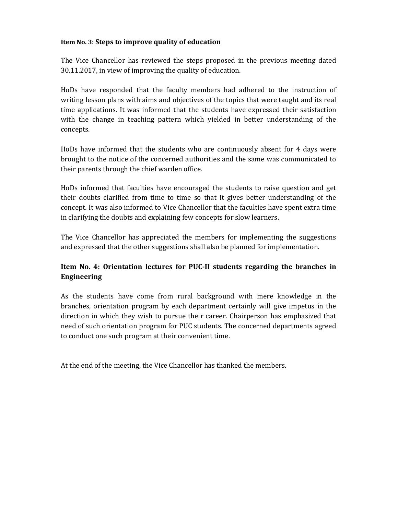#### Item No. 3: Steps to improve quality of education

The Vice Chancellor has reviewed the steps proposed in the previous meeting dated 30.11.2017, in view of improving the quality of education.

HoDs have responded that the faculty members had adhered to the instruction of writing lesson plans with aims and objectives of the topics that were taught and its real time applications. It was informed that the students have expressed their satisfaction with the change in teaching pattern which yielded in better understanding of the concepts.

HoDs have informed that the students who are continuously absent for 4 days were brought to the notice of the concerned authorities and the same was communicated to their parents through the chief warden office.

HoDs informed that faculties have encouraged the students to raise question and get their doubts clarified from time to time so that it gives better understanding of the concept. It was also informed to Vice Chancellor that the faculties have spent extra time in clarifying the doubts and explaining few concepts for slow learners.

The Vice Chancellor has appreciated the members for implementing the suggestions and expressed that the other suggestions shall also be planned for implementation.

### Item No. 4: Orientation lectures for PUC-II students regarding the branches in Engineering

As the students have come from rural background with mere knowledge in the branches, orientation program by each department certainly will give impetus in the direction in which they wish to pursue their career. Chairperson has emphasized that need of such orientation program for PUC students. The concerned departments agreed to conduct one such program at their convenient time.

At the end of the meeting, the Vice Chancellor has thanked the members.